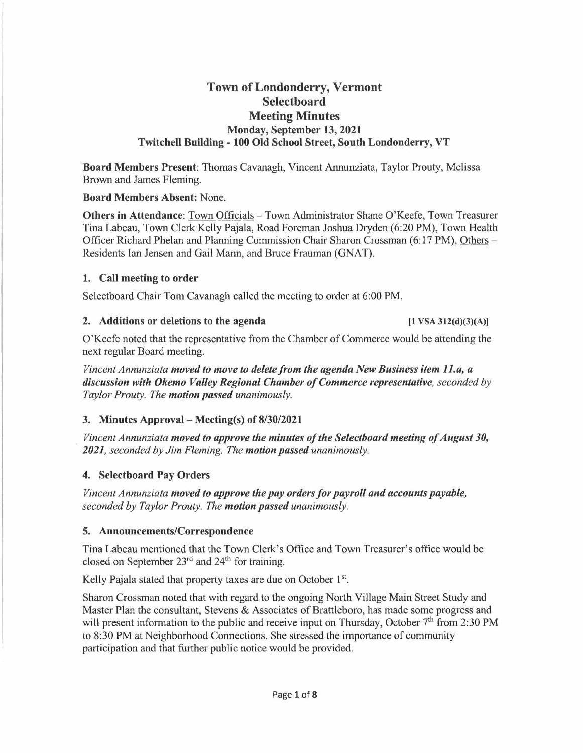# **Town of Londonderry, Vermont Selectboard Meeting Minutes Monday, September 13, 2021 Twitchell Building - 100 Old School Street, South Londonderry, VT**

**Board Members Present:** Thomas Cavanagh, Vincent Annunziata, Taylor Prouty, Melissa Brown and James Fleming.

### **Board Members Absent:** None.

**Others in Attendance:** Town Officials – Town Administrator Shane O'Keefe, Town Treasurer Tina Labeau, Town Clerk Kelly Pajala, Road Foreman Joshua Dryden (6:20 PM), Town Health Officer Richard Phelan and Planning Commission Chair Sharon Crossman (6:17 PM), Others -Residents Ian Jensen and Gail Mann, and Bruce Frauman (GNAT).

#### **1. Call meeting to order**

Selectboard Chair Tom Cavanagh called the meeting to order at 6:00 PM.

#### **2. Additions or deletions to the agenda [1 VSA 312(d)(3)(A)]**

O'Keefe noted that the representative from the Chamber of Commerce would be attending the next regular Board meeting.

*Vincent Annunziata moved to move to delete from the agenda New Business item 1 I.a, a discussion with Okemo Valley Regional Chamber of Commerce representative, seconded by Taylor Prouty. The motion passed unanimously.* 

### **3. Minutes Approval - Meeting(s) of 8/30/2021**

*Vincent Annunziata moved to approve the minutes of the Selectboard meeting of August 30, 2021, seconded by Jim Fleming. The motion passed unanimously.* 

### **4. Selectboard Pay Orders**

*Vincent Annunziata moved to approve the pay orders for payroll and accounts payable, seconded by Taylor Prouty. The motion passed unanimously.* 

### **5. Announcements/Correspondence**

Tina Labeau mentioned that the Town Clerk's Office and Town Treasurer's office would be closed on September 23<sup>rd</sup> and 24<sup>th</sup> for training.

Kelly Pajala stated that property taxes are due on October  $1<sup>st</sup>$ .

Sharon Crossman noted that with regard to the ongoing North Village Main Street Study and Master Plan the consultant, Stevens & Associates of Brattleboro, has made some progress and will present information to the public and receive input on Thursday, October  $7<sup>th</sup>$  from 2:30 PM to 8:30 PM at Neighborhood Connections. She stressed the importance of community participation and that further public notice would be provided.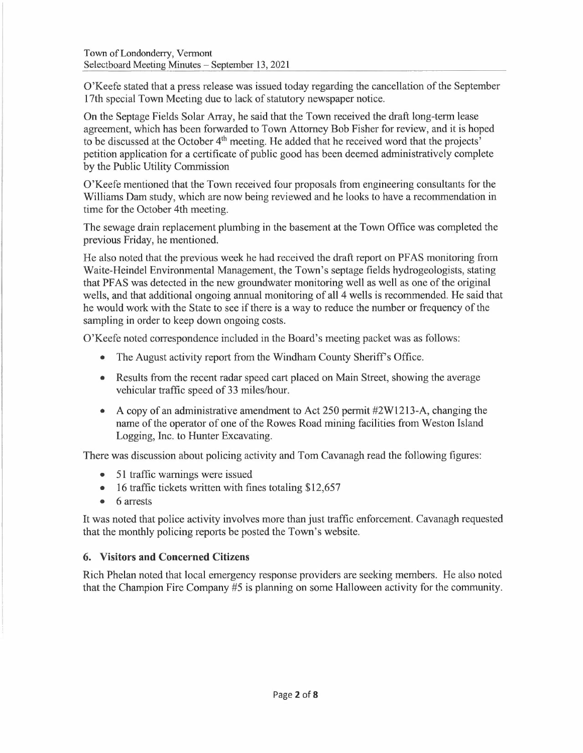O'Keefe stated that a press release was issued today regarding the cancellation of the September 17th special Town Meeting due to lack of statutory newspaper notice.

On the Septage Fields Solar Array, he said that the Town received the draft long-term lease agreement, which has been forwarded to Town Attorney Bob Fisher for review, and it is hoped to be discussed at the October 4<sup>th</sup> meeting. He added that he received word that the projects' petition application for a certificate of public good has been deemed administratively complete by the Public Utility Commission

O'Keefe mentioned that the Town received four proposals from engineering consultants for the Williams Dam study, which are now being reviewed and he looks to have a recommendation in time for the October 4th meeting.

The sewage drain replacement plumbing in the basement at the Town Office was completed the previous Friday, he mentioned.

He also noted that the previous week he had received the draft report on PFAS monitoring from Waite-Heindel Environmental Management, the Town's septage fields hydrogeologists, stating that PF AS was detected in the new groundwater monitoring well as well as one of the original wells, and that additional ongoing annual monitoring of all 4 wells is recommended. He said that he would work with the State to see if there is a way to reduce the number or frequency of the sampling in order to keep down ongoing costs.

O'Keefe noted correspondence included in the Board's meeting packet was as follows:

- The August activity report from the Windham County Sheriff's Office.
- Results from the recent radar speed cart placed on Main Street, showing the average vehicular traffic speed of 33 miles/hour.
- A copy of an administrative amendment to Act 250 permit  $\#2W1213-A$ , changing the name of the operator of one of the Rowes Road mining facilities from Weston Island Logging, Inc. to Hunter Excavating.

There was discussion about policing activity and Tom Cavanagh read the following figures:

- 51 traffic warnings were issued
- 16 traffic tickets written with fines totaling \$12,657
- 6 arrests

It was noted that police activity involves more than just traffic enforcement. Cavanagh requested that the monthly policing reports be posted the Town's website.

### **6. Visitors and Concerned Citizens**

Rich Phelan noted that local emergency response providers are seeking members. He also noted that the Champion Fire Company #5 is planning on some Halloween activity for the community.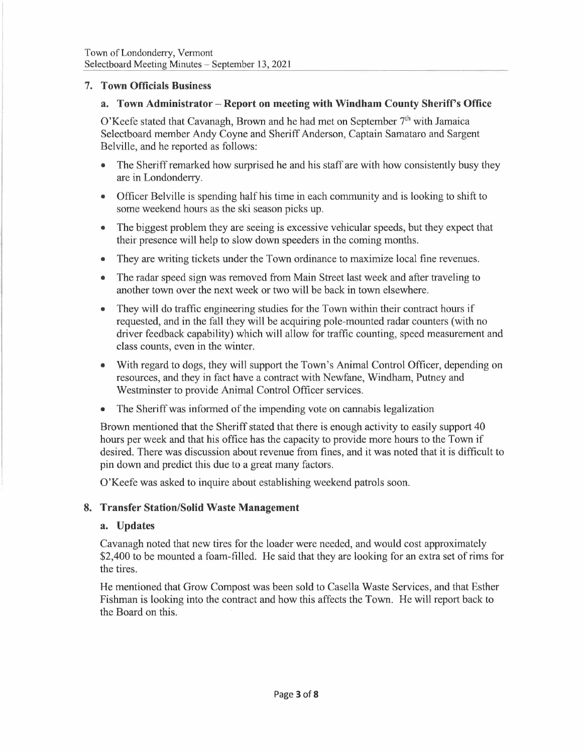### **7. Town Officials Business**

#### **a. Town Administrator - Report on meeting with Windham County Sheriff's Office**

O'Keefe stated that Cavanagh, Brown and he had met on September  $7<sup>th</sup>$  with Jamaica Selectboard member Andy Coyne and Sheriff Anderson, Captain Samataro and Sargent Belville, and he reported as follows:

- The Sheriff remarked how surprised he and his staff are with how consistently busy they are in Londonderry.
- Officer Belville is spending half his time in each community and is looking to shift to some weekend hours as the ski season picks up.
- The biggest problem they are seeing is excessive vehicular speeds, but they expect that their presence will help to slow down speeders in the coming months.
- They are writing tickets under the Town ordinance to maximize local fine revenues.
- The radar speed sign was removed from Main Street last week and after traveling to another town over the next week or two will be back in town elsewhere.
- They will do traffic engineering studies for the Town within their contract hours if requested, and in the fall they will be acquiring pole-mounted radar counters (with no driver feedback capability) which will allow for traffic counting, speed measurement and class counts, even in the winter.
- With regard to dogs, they will support the Town's Animal Control Officer, depending on resources, and they in fact have a contract with Newfane, Windham, Putney and Westminster to provide Animal Control Officer services.
- The Sheriff was informed of the impending vote on cannabis legalization

Brown mentioned that the Sheriff stated that there is enough activity to easily support 40 hours per week and that his office has the capacity to provide more hours to the Town if desired. There was discussion about revenue from fines, and it was noted that it is difficult to pin down and predict this due to a great many factors.

O'Keefe was asked to inquire about establishing weekend patrols soon.

### **8. Transfer Station/Solid Waste Management**

#### **a. Updates**

Cavanagh noted that new tires for the loader were needed, and would cost approximately \$2,400 to be mounted a foam-filled. He said that they are looking for an extra set of rims for the tires.

He mentioned that Grow Compost was been sold to Casella Waste Services, and that Esther Fishman is looking into the contract and how this affects the Town. He will report back to the Board on this.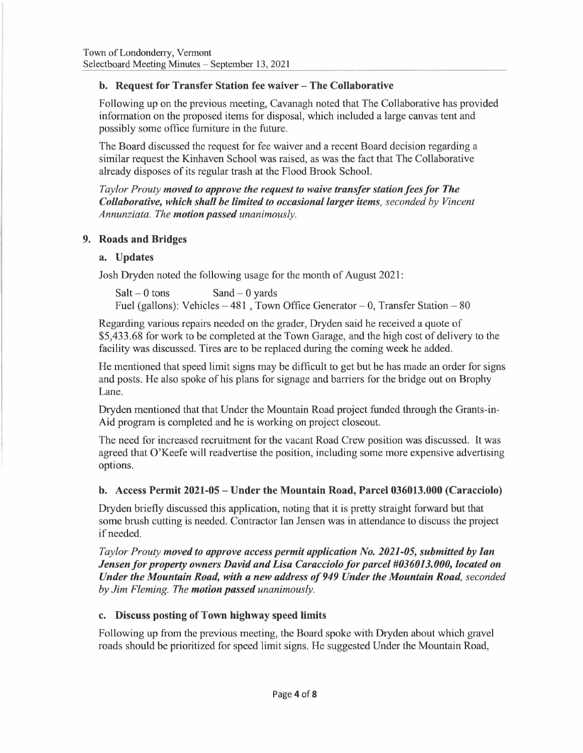# **b. Request for Transfer Station fee waiver - The Collaborative**

Following up on the previous meeting, Cavanagh noted that The Collaborative has provided information on the proposed items for disposal, which included a large canvas tent and possibly some office furniture in the future.

The Board discussed the request for fee waiver and a recent Board decision regarding a similar request the Kinhaven School was raised, as was the fact that The Collaborative already disposes of its regular trash at the Flood Brook School.

*Taylor Prouty moved to approve the request to waive transfer station fees for The Collaborative, which shall be limited to occasional larger items, seconded by Vincent Annunziata. The motion passed unanimously.* 

### **9. Roads and Bridges**

### **a. Updates**

Josh Dryden noted the following usage for the month of August 2021:

 $Salt - 0$  tons  $Sand - 0$  yards Fuel (gallons): Vehicles  $-481$ , Town Office Generator  $- 0$ , Transfer Station  $- 80$ 

Regarding various repairs needed on the grader, Dryden said he received a quote of \$5,433.68 for work to be completed at the Town Garage, and the high cost of delivery to the facility was discussed. Tires are to be replaced during the coming week he added.

He mentioned that speed limit signs may be difficult to get but he has made an order for signs and posts. He also spoke of his plans for signage and barriers for the bridge out on Brophy Lane.

Dryden mentioned that that Under the Mountain Road project funded through the Grants-in-Aid program is completed and he is working on project closeout.

The need for increased recruitment for the vacant Road Crew position was discussed. It was agreed that O'Keefe will readvertise the position, including some more expensive advertising options.

### **b. Access Permit 2021-05- Under the Mountain Road, Parcel 036013.000 (Caracciolo)**

Dryden briefly discussed this application, noting that it is pretty straight forward but that some brush cutting is needed. Contractor Ian Jensen was in attendance to discuss the project if needed.

*Taylor Prouty moved to approve access permit application No. 2021-05, submitted by Ian Jensen for property owners David and Lisa Caracciolo for parcel #036013.000, located on Under the Mountain Road, with a new address of 949 Under the Mountain Road, seconded by Jim Fleming. The motion passed unanimously.* 

### **c. Discuss posting of Town highway speed limits**

Following up from the previous meeting, the Board spoke with Dryden about which gravel roads should be prioritized for speed limit signs. He suggested Under the Mountain Road,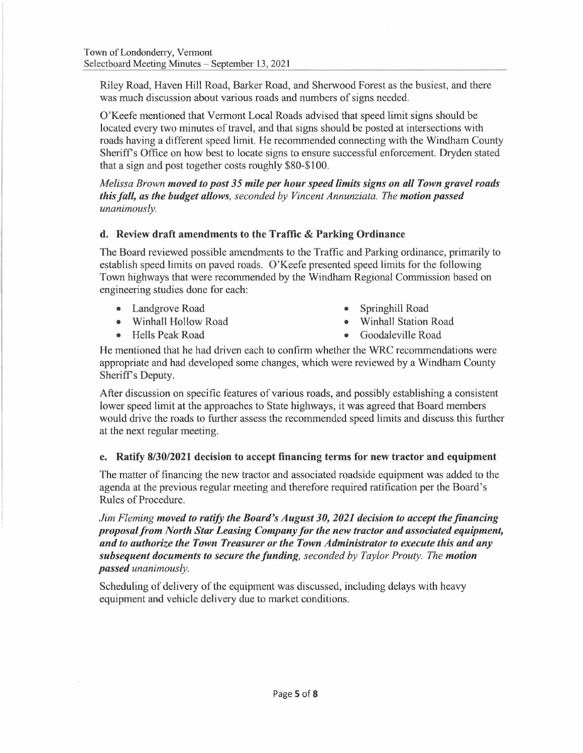Riley Road, Haven Hill Road, Barker Road, and Sherwood Forest as the busiest, and there was much discussion about various roads and numbers of signs needed.

O'Keefe mentioned that Vermont Local Roads advised that speed limit signs should be located every two minutes of travel, and that signs should be posted at intersections with roads having a different speed limit. He recommended connecting with the Windham County Sheriffs Office on how best to locate signs to ensure successful enforcement. Dryden stated that a sign and post together costs roughly \$80-\$100.

*Melissa Brown moved to post 35 mile per hour speed limits signs on all Town gravel roads this fall, as the budget allows, seconded by Vincent Annunziata. The motion passed unanimously.* 

# **d. Review draft amendments to the Traffic** & **Parking Ordinance**

The Board reviewed possible amendments to the Traffic and Parking ordinance, primarily to establish speed limits on paved roads. O'Keefe presented speed limits for the following Town highways that were recommended by the Windham Regional Commission based on engineering studies done for each:

- Landgrove Road
- Winhall Hollow Road
- Hells Peak Road
- Springhill Road
- Winhall Station Road
- Goodaleville Road

He mentioned that he had driven each to confirm whether the WRC recommendations were appropriate and had developed some changes, which were reviewed by a Windham County Sheriff's Deputy.

After discussion on specific features of various roads, and possibly establishing a consistent lower speed limit at the approaches to State highways, it was agreed that Board members would drive the roads to further assess the recommended speed limits and discuss this further at the next regular meeting.

### **e. Ratify 8/30/2021 decision to accept financing terms for new tractor and equipment**

The matter of financing the new tractor and associated roadside equipment was added to the agenda at the previous regular meeting and therefore required ratification per the Board's Rules of Procedure.

*Jim Fleming moved to ratify the Board's August 30, 2021 decision to accept the financing proposal from North Star Leasing Company for the new tractor and associated equipment, and to authorize the Town Treasurer or the Town Administrator to execute this and any subsequent documents to secure the funding, seconded by Taylor Prouty. The motion passed unanimously.* 

Scheduling of delivery of the equipment was discussed, including delays with heavy equipment and vehicle delivery due to market conditions.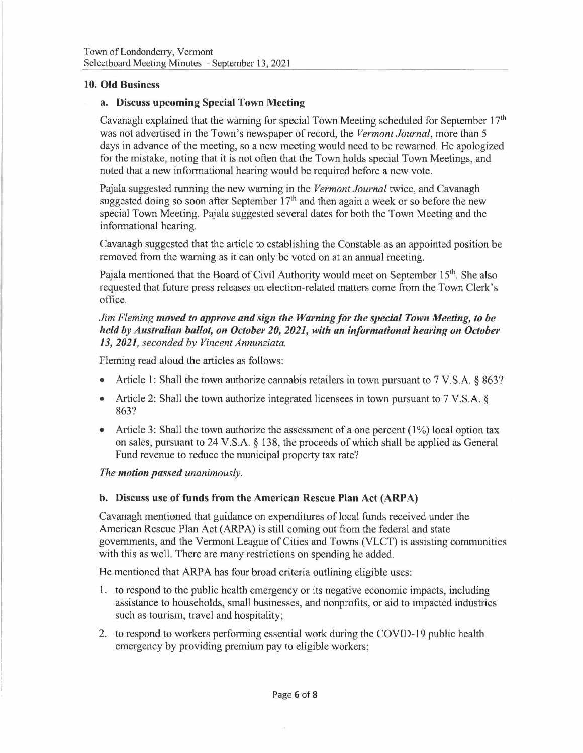### **10. Old Business**

### **a. Discuss upcoming Special Town Meeting**

Cavanagh explained that the warning for special Town Meeting scheduled for September 17<sup>th</sup> was not advertised in the Town's newspaper of record, the *Vermont Journal,* more than 5 days in advance of the meeting, so a new meeting would need to be rewarned. He apologized for the mistake, noting that it is not often that the Town holds special Town Meetings, and noted that a new informational hearing would be required before a new vote.

Pajala suggested running the new warning in the *Vermont Journal* twice, and Cavanagh suggested doing so soon after September  $17<sup>th</sup>$  and then again a week or so before the new special Town Meeting. Pajala suggested several dates for both the Town Meeting and the informational hearing.

Cavanagh suggested that the article to establishing the Constable as an appointed position be removed from the warning as it can only be voted on at an annual meeting.

Pajala mentioned that the Board of Civil Authority would meet on September 15<sup>th</sup>. She also requested that future press releases on election-related matters come from the Town Clerk's office.

### *Jim Fleming moved to approve and sign the Warning for the special Town Meeting, to be held by Australian ballot, on October 20, 2021, with an informational hearing on October 13, 2021, seconded by Vincent Annunziata.*

Fleming read aloud the articles as follows:

- Article 1: Shall the town authorize cannabis retailers in town pursuant to 7 V.S.A. § 863?
- Article 2: Shall the town authorize integrated licensees in town pursuant to 7 V.S.A. § 863?
- Article 3: Shall the town authorize the assessment of a one percent  $(1\%)$  local option tax on sales, pursuant to 24 V.S.A. § 138, the proceeds of which shall be applied as General Fund revenue to reduce the municipal property tax rate?

*The motion passed unanimously.* 

### **b. Discuss use of funds from the American Rescue Plan Act (ARPA)**

Cavanagh mentioned that guidance on expenditures of local funds received under the American Rescue Plan Act (ARPA) is still coming out from the federal and state governments, and the Vermont League of Cities and Towns (VLCT) is assisting communities with this as well. There are many restrictions on spending he added.

He mentioned that ARPA has four broad criteria outlining eligible uses:

- 1. to respond to the public health emergency or its negative economic impacts, including assistance to households, small businesses, and nonprofits, or aid to impacted industries such as tourism, travel and hospitality;
- 2. to respond to workers performing essential work during the COVID-19 public health emergency by providing premium pay to eligible workers;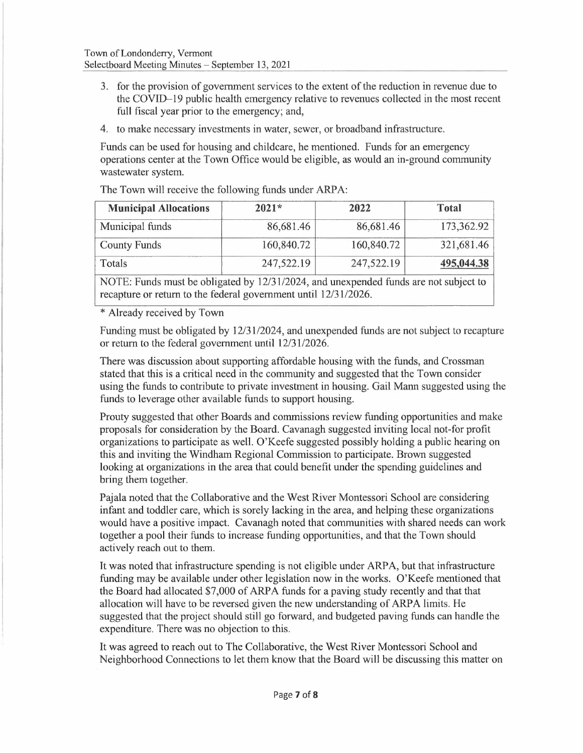- 3. for the provision of government services to the extent of the reduction in revenue due to the COVID-19 public health emergency relative to revenues collected in the most recent full fiscal year prior to the emergency; and,
- 4. to make necessary investments in water, sewer, or broadband infrastructure.

Funds can be used for housing and childcare, he mentioned. Funds for an emergency operations center at the Town Office would be eligible, as would an in-ground community wastewater system.

The Town will receive the following funds under ARPA:

| <b>Municipal Allocations</b> | $2021*$    | 2022       | <b>Total</b> |
|------------------------------|------------|------------|--------------|
| Municipal funds              | 86,681.46  | 86,681.46  | 173,362.92   |
| <b>County Funds</b>          | 160,840.72 | 160,840.72 | 321,681.46   |
| Totals                       | 247,522.19 | 247,522.19 | 495,044.38   |
|                              |            |            |              |

NOTE: Funds must be obligated by 12/31/2024, and unexpended funds are not subject to recapture or return to the federal government until 12/31/2026.

\* Already received by Town

Funding must be obligated by 12/31/2024, and unexpended funds are not subject to recapture or return to the federal government until 12/31/2026.

There was discussion about supporting affordable housing with the funds, and Crossman stated that this is a critical need in the community and suggested that the Town consider using the funds to contribute to private investment in housing. Gail Mann suggested using the funds to leverage other available funds to support housing.

Prouty suggested that other Boards and commissions review funding opportunities and make proposals for consideration by the Board. Cavanagh suggested inviting local not-for profit organizations to participate as well. O'Keefe suggested possibly holding a public hearing on this and inviting the Windham Regional Commission to participate. Brown suggested looking at organizations in the area that could benefit under the spending guidelines and bring them together.

Pajala noted that the Collaborative and the West River Montessori School are considering infant and toddler care, which is sorely lacking in the area, and helping these organizations would have a positive impact. Cavanagh noted that communities with shared needs can work together a pool their funds to increase funding opportunities, and that the Town should actively reach out to them.

It was noted that infrastructure spending is not eligible under ARPA, but that infrastructure funding may be available under other legislation now in the works. O'Keefe mentioned that the Board had allocated \$7,000 of ARPA funds for a paving study recently and that that allocation will have to be reversed given the new understanding of ARPA limits. He suggested that the project should still go forward, and budgeted paving funds can handle the expenditure. There was no objection to this.

It was agreed to reach out to The Collaborative, the West River Montessori School and Neighborhood Connections to let them know that the Board will be discussing this matter on